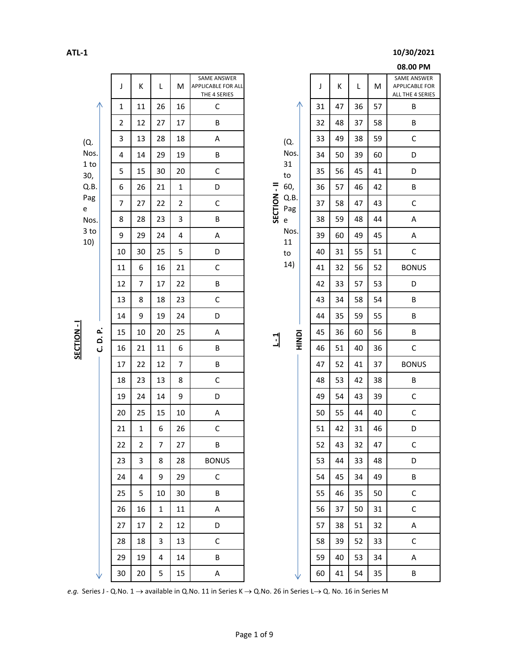## **ATL-1 10/30/2021**

|                                                                                                                                                |          | J              | К            | L  | М              | SAME ANSWER<br>APPLICABLE FOR ALL<br>THE 4 SERIES |                |             |                                   |    | J  | Κ  | L  | M       | SAME ANSWER<br><b>APPLICABLE FOR</b><br>ALL THE 4 SERIES |
|------------------------------------------------------------------------------------------------------------------------------------------------|----------|----------------|--------------|----|----------------|---------------------------------------------------|----------------|-------------|-----------------------------------|----|----|----|----|---------|----------------------------------------------------------|
|                                                                                                                                                |          | 1              | 11           | 26 | 16             | $\mathsf C$                                       |                |             |                                   |    | 31 | 47 | 36 | 57      | $\sf B$                                                  |
|                                                                                                                                                |          | $\mathbf{2}$   | 12           | 27 | 17             | B                                                 |                |             | (Q.                               |    | 32 | 48 | 37 | 58      | $\sf B$                                                  |
| (Q.                                                                                                                                            |          | 3              | 13           | 28 | 18             | А                                                 |                |             |                                   |    | 33 | 49 | 38 | 59      | $\mathsf C$                                              |
|                                                                                                                                                | Nos.     | 4              | 14           | 29 | 19             | B                                                 |                | Nos.        |                                   |    | 34 | 50 | 39 | 60      | D                                                        |
| 30,                                                                                                                                            | 1 to     | 5              | 15           | 30 | 20             | $\mathsf C$                                       |                |             |                                   |    | 35 | 56 | 45 | 41      | $\mathsf D$                                              |
|                                                                                                                                                | Q.B.     | 6              | 26           | 21 | $\mathbf{1}$   | D                                                 |                |             | to<br>60,                         |    | 36 | 57 | 46 | 42      | B                                                        |
| Pag<br>$\mathsf{e}% _{t}\left( t\right)$                                                                                                       |          | $\overline{7}$ | 27           | 22 | $\overline{2}$ | $\mathsf C$                                       | SECTION-II     |             | Q.B.<br>Pag                       |    | 37 | 58 | 47 | 43      | $\mathsf C$                                              |
|                                                                                                                                                | Nos.     | 8              | 28           | 23 | 3              | B                                                 |                |             | $\mathsf{e}% _{t}\left( t\right)$ |    | 38 | 59 | 48 | 44      | $\sf A$                                                  |
| 10)                                                                                                                                            | $3$ to   | 9              | 29           | 24 | 4              | A                                                 |                |             | Nos.<br>11                        |    | 39 | 60 | 49 | 45      | A                                                        |
|                                                                                                                                                |          | 10             | 30           | 25 | 5              | D                                                 |                |             | $\mathsf{to}$                     |    | 40 | 31 | 55 | 51      | $\mathsf C$                                              |
|                                                                                                                                                |          | 11             | 6            | 16 | 21             | $\mathsf C$                                       |                |             | 14)                               |    | 41 | 32 | 56 | 52      | <b>BONUS</b>                                             |
|                                                                                                                                                |          | 12             | 7            | 17 | 22             | B                                                 |                |             |                                   |    | 42 | 33 | 57 | 53      | $\mathsf D$                                              |
|                                                                                                                                                |          | 13             | 8            | 18 | 23             | $\mathsf C$                                       |                |             |                                   |    | 43 | 34 | 58 | 54      | B                                                        |
|                                                                                                                                                |          | 14             | 9            | 19 | 24             | D                                                 |                |             |                                   |    | 44 | 35 | 59 | 55      | B                                                        |
| SECTION-I                                                                                                                                      | C. D. P. | 15             | 10           | 20 | 25             | $\sf A$                                           | $\overline{1}$ | <b>DONH</b> |                                   | 45 | 36 | 60 | 56 | $\sf B$ |                                                          |
|                                                                                                                                                |          | 16             | 21           | 11 | 6              | B                                                 |                |             |                                   |    | 46 | 51 | 40 | 36      | $\mathsf C$                                              |
|                                                                                                                                                |          | 17             | 22           | 12 | 7              | B                                                 |                |             |                                   |    | 47 | 52 | 41 | 37      | <b>BONUS</b>                                             |
|                                                                                                                                                |          | 18             | 23           | 13 | 8              | $\mathsf C$                                       |                |             |                                   |    | 48 | 53 | 42 | 38      | B                                                        |
|                                                                                                                                                |          | 19             | 24           | 14 | 9              | D                                                 |                |             |                                   |    | 49 | 54 | 43 | 39      | $\mathsf C$                                              |
|                                                                                                                                                |          | 20             | 25           | 15 | 10             | $\sf A$                                           |                |             |                                   |    | 50 | 55 | 44 | 40      | $\mathsf C$                                              |
|                                                                                                                                                |          | 21             | $\mathbf{1}$ | 6  | 26             | $\mathsf C$                                       |                |             |                                   |    | 51 | 42 | 31 | 46      | D                                                        |
|                                                                                                                                                |          | 22             | $\mathbf{2}$ | 7  | 27             | $\sf B$                                           |                |             |                                   |    | 52 | 43 | 32 | 47      | $\mathsf C$                                              |
|                                                                                                                                                |          | 23             | 3            | 8  | 28             | <b>BONUS</b>                                      |                |             |                                   |    | 53 | 44 | 33 | 48      | D                                                        |
|                                                                                                                                                |          | 24             | 4            | 9  | 29             | $\mathsf C$                                       |                |             |                                   |    | 54 | 45 | 34 | 49      | B                                                        |
|                                                                                                                                                |          | 25             | 5            | 10 | 30             | B                                                 |                |             |                                   |    | 55 | 46 | 35 | 50      | $\mathsf C$                                              |
|                                                                                                                                                |          | 26             | 16           | 1  | 11             | Α                                                 |                |             |                                   |    | 56 | 37 | 50 | 31      | $\mathsf C$                                              |
|                                                                                                                                                |          | 27             | 17           | 2  | 12             | D                                                 |                |             |                                   |    | 57 | 38 | 51 | 32      | Α                                                        |
|                                                                                                                                                |          | 28             | 18           | 3  | 13             | $\mathsf C$                                       |                |             |                                   |    | 58 | 39 | 52 | 33      | $\mathsf C$                                              |
|                                                                                                                                                |          | 29             | 19           | 4  | 14             | Β                                                 |                |             |                                   |    | 59 | 40 | 53 | 34      | Α                                                        |
|                                                                                                                                                |          | 30             | 20           | 5  | 15             | Α                                                 |                |             |                                   |    | 60 | 41 | 54 | 35      | B                                                        |
| e.g. Series J - Q.No. 1 $\rightarrow$ available in Q.No. 11 in Series K $\rightarrow$ Q.No. 26 in Series L $\rightarrow$ Q. No. 16 in Series M |          |                |              |    |                |                                                   |                |             |                                   |    |    |    |    |         |                                                          |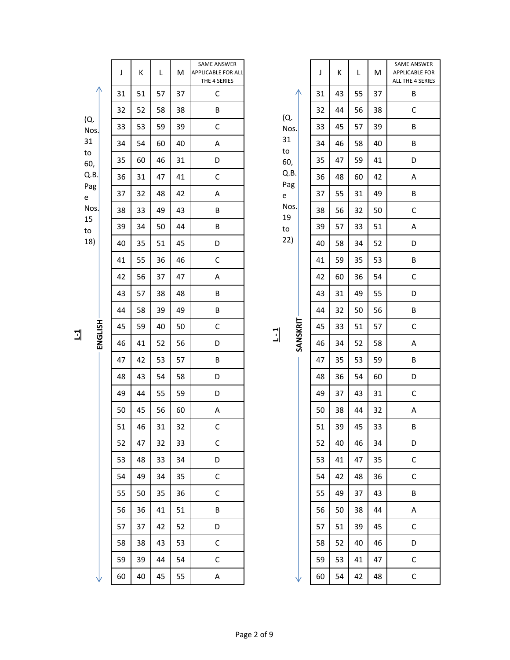|               | J  | К  | L  | M  | SAME ANSWER<br>APPLICABLE FOR ALL<br>THE 4 SERIES |                           | J  | К  | L  | M  | SAME AM<br>APPLICAE<br>ALL THE 4 |
|---------------|----|----|----|----|---------------------------------------------------|---------------------------|----|----|----|----|----------------------------------|
|               | 31 | 51 | 57 | 37 | $\mathsf C$                                       |                           | 31 | 43 | 55 | 37 | B                                |
|               | 32 | 52 | 58 | 38 | B                                                 | (Q.                       | 32 | 44 | 56 | 38 | $\mathsf{C}$                     |
| (Q.<br>$N$ os | 33 | 53 | 59 | 39 | $\mathsf C$                                       | Nos.                      | 33 | 45 | 57 | 39 | B                                |
| 31            | 34 | 54 | 60 | 40 | $\sf A$                                           | 31<br>to                  | 34 | 46 | 58 | 40 | B                                |
| to<br>60,     | 35 | 60 | 46 | 31 | D                                                 | 60,                       | 35 | 47 | 59 | 41 | D                                |
| Q.B.          | 36 | 31 | 47 | 41 | $\mathsf C$                                       | Q.B.<br>Pag               | 36 | 48 | 60 | 42 | A                                |
| Pag<br>e      | 37 | 32 | 48 | 42 | $\sf A$                                           | e                         | 37 | 55 | 31 | 49 | B                                |
| $N$ os        | 38 | 33 | 49 | 43 | $\sf B$                                           | Nos.<br>19                | 38 | 56 | 32 | 50 | $\mathsf{C}$                     |
| 15<br>to      | 39 | 34 | 50 | 44 | $\sf B$                                           | $\mathsf{to}$             | 39 | 57 | 33 | 51 | A                                |
| 18)           | 40 | 35 | 51 | 45 | D                                                 | 22)                       | 40 | 58 | 34 | 52 | D                                |
|               | 41 | 55 | 36 | 46 | $\mathsf C$                                       |                           | 41 | 59 | 35 | 53 | B                                |
|               | 42 | 56 | 37 | 47 | А                                                 |                           | 42 | 60 | 36 | 54 | $\mathsf{C}$                     |
|               | 43 | 57 | 38 | 48 | B                                                 |                           | 43 | 31 | 49 | 55 | D                                |
|               | 44 | 58 | 39 | 49 | $\sf B$                                           |                           | 44 | 32 | 50 | 56 | B                                |
| ENGLISH       | 45 | 59 | 40 | 50 | $\mathsf C$                                       |                           | 45 | 33 | 51 | 57 | $\mathsf{C}$                     |
|               | 46 | 41 | 52 | 56 | D                                                 | SANSKRIT<br>$\frac{1}{2}$ | 46 | 34 | 52 | 58 | A                                |
|               | 47 | 42 | 53 | 57 | $\sf B$                                           |                           | 47 | 35 | 53 | 59 | B                                |
|               | 48 | 43 | 54 | 58 | D                                                 |                           | 48 | 36 | 54 | 60 | D                                |
|               | 49 | 44 | 55 | 59 | D                                                 |                           | 49 | 37 | 43 | 31 | $\mathsf{C}$                     |
|               | 50 | 45 | 56 | 60 | A                                                 |                           | 50 | 38 | 44 | 32 | A                                |
|               | 51 | 46 | 31 | 32 | С                                                 |                           | 51 | 39 | 45 | 33 | B                                |
|               | 52 | 47 | 32 | 33 | $\mathsf C$                                       |                           | 52 | 40 | 46 | 34 | D                                |
|               | 53 | 48 | 33 | 34 | D                                                 |                           | 53 | 41 | 47 | 35 | $\mathsf{C}$                     |
|               | 54 | 49 | 34 | 35 | $\mathsf C$                                       |                           | 54 | 42 | 48 | 36 | $\mathsf{C}$                     |
|               | 55 | 50 | 35 | 36 | $\mathsf C$                                       |                           | 55 | 49 | 37 | 43 | B                                |
|               | 56 | 36 | 41 | 51 | B                                                 |                           | 56 | 50 | 38 | 44 | A                                |
|               | 57 | 37 | 42 | 52 | D                                                 |                           | 57 | 51 | 39 | 45 | $\mathsf{C}$                     |
|               | 58 | 38 | 43 | 53 | $\mathsf C$                                       |                           | 58 | 52 | 40 | 46 | D                                |
|               | 59 | 39 | 44 | 54 | $\mathsf C$                                       |                           | 59 | 53 | 41 | 47 | $\mathsf{C}$                     |
|               | 60 | 40 | 45 | 55 | Α                                                 |                           | 60 | 54 | 42 | 48 | $\mathsf{C}$                     |
|               |    |    |    |    |                                                   |                           |    |    |    |    |                                  |

**L-1**

| 31   |
|------|
| to   |
| 60,  |
| Q.B. |
| Pag  |
| e    |
| Nos. |
|      |
| 19   |
| to   |
| 22)  |
|      |
|      |

| 4 |  |  |
|---|--|--|

| L9  |  |  |
|-----|--|--|
| 0   |  |  |
| 22) |  |  |
|     |  |  |
|     |  |  |
|     |  |  |
|     |  |  |
|     |  |  |
|     |  |  |

| 31 | 43 | 55 | 3 |
|----|----|----|---|
| 32 | 44 | 56 | 3 |
| 33 | 45 | 57 | 3 |
| 34 | 46 | 58 | 4 |
| 35 | 47 | 59 | 4 |
| 36 | 48 | 60 | 4 |
| 37 | 55 | 31 | 4 |
| 38 | 56 | 32 | 5 |
| 39 | 57 | 33 | 5 |
| 40 | 58 | 34 | 5 |
| 41 | 59 | 35 | 5 |
| 42 | 60 | 36 | 5 |
| 43 | 31 | 49 | 5 |
| 44 | 32 | 50 | 5 |
| 45 | 33 | 51 | 5 |
| 46 | 34 | 52 | 5 |
| 47 | 35 | 53 | 5 |
| 48 | 36 | 54 | 6 |
| 49 | 37 | 43 | 3 |
| 50 | 38 | 44 | 3 |
| 51 | 39 | 45 | 3 |
| 52 | 40 | 46 | 3 |
| 53 | 41 | 47 | 3 |
| 54 | 42 | 48 | 3 |
| 55 | 49 | 37 | 4 |
| 56 | ς∩ | 20 |   |

SAME ANSWER APPLICABLE FOR ALL THE 4 SERIES

| 3. |          | 36 | 48 | 60 | 42 |  |
|----|----------|----|----|----|----|--|
| 3  |          | 37 | 55 | 31 | 49 |  |
| s. |          | 38 | 56 | 32 | 50 |  |
|    |          | 39 | 57 | 33 | 51 |  |
|    |          | 40 | 58 | 34 | 52 |  |
|    |          | 41 | 59 | 35 | 53 |  |
|    |          | 42 | 60 | 36 | 54 |  |
|    |          | 43 | 31 | 49 | 55 |  |
|    |          | 44 | 32 | 50 | 56 |  |
|    | SANSKRIT | 45 | 33 | 51 | 57 |  |
|    |          | 46 | 34 | 52 | 58 |  |
|    |          | 47 | 35 | 53 | 59 |  |
|    |          | 48 | 36 | 54 | 60 |  |
|    |          | 49 | 37 | 43 | 31 |  |
|    |          | 50 | 38 | 44 | 32 |  |
|    |          | 51 | 39 | 45 | 33 |  |
|    |          | 52 | 40 | 46 | 34 |  |
|    |          | 53 | 41 | 47 | 35 |  |
|    |          | 54 | 42 | 48 | 36 |  |
|    |          | 55 | 49 | 37 | 43 |  |
|    |          | 56 | 50 | 38 | 44 |  |
|    |          | 57 | 51 | 39 | 45 |  |
|    |          | 58 | 52 | 40 | 46 |  |
|    |          |    |    |    |    |  |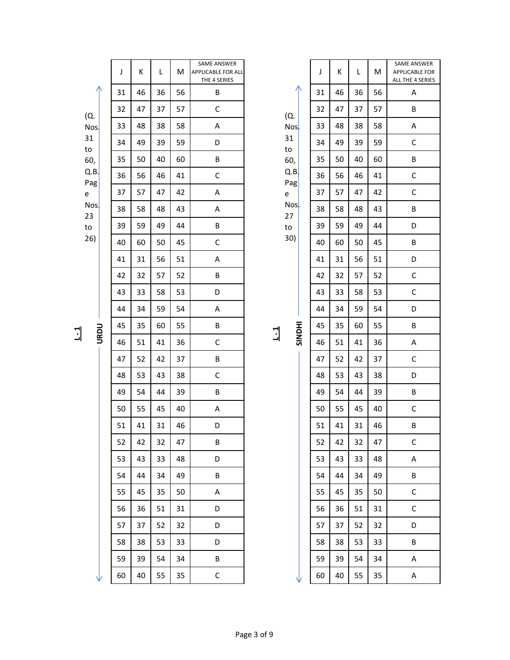|                        | J  | К  | L  | M  | SAME ANSWER<br>APPLICABLE FOR ALL<br>THE 4 SERIES |              |                     | J  | К  | L  | M  | SAME AM<br>APPLICAE<br>ALL THE 4 |
|------------------------|----|----|----|----|---------------------------------------------------|--------------|---------------------|----|----|----|----|----------------------------------|
|                        | 31 | 46 | 36 | 56 | B                                                 |              | Л                   | 31 | 46 | 36 | 56 | A                                |
| (Q.                    | 32 | 47 | 37 | 57 | $\mathsf C$                                       |              | (Q.                 | 32 | 47 | 37 | 57 | B                                |
| Nos <sub>1</sub>       | 33 | 48 | 38 | 58 | A                                                 |              | Nos.                | 33 | 48 | 38 | 58 | A                                |
| 31<br>to               | 34 | 49 | 39 | 59 | D                                                 |              | 31<br>$\mathsf{to}$ | 34 | 49 | 39 | 59 | $\mathsf{C}$                     |
| 60,                    | 35 | 50 | 40 | 60 | $\sf B$                                           |              | 60,                 | 35 | 50 | 40 | 60 | B                                |
| Q.B.<br>Pag            | 36 | 56 | 46 | 41 | $\mathsf C$                                       |              | Q.B<br>Pag          | 36 | 56 | 46 | 41 | $\mathsf{C}$                     |
| e                      | 37 | 57 | 47 | 42 | A                                                 |              | e                   | 37 | 57 | 47 | 42 | $\mathsf{C}$                     |
| Nos <sub>1</sub><br>23 | 38 | 58 | 48 | 43 | $\sf A$                                           |              | Nos.<br>27          | 38 | 58 | 48 | 43 | B                                |
| to                     | 39 | 59 | 49 | 44 | $\sf B$                                           |              | to                  | 39 | 59 | 49 | 44 | D                                |
| 26)                    | 40 | 60 | 50 | 45 | $\mathsf C$                                       |              | 30)                 | 40 | 60 | 50 | 45 | B                                |
|                        | 41 | 31 | 56 | 51 | $\sf A$                                           |              |                     | 41 | 31 | 56 | 51 | D                                |
|                        | 42 | 32 | 57 | 52 | $\sf B$                                           |              |                     | 42 | 32 | 57 | 52 | $\mathsf{C}$                     |
|                        | 43 | 33 | 58 | 53 | D                                                 |              |                     | 43 | 33 | 58 | 53 | $\mathsf{C}$                     |
|                        | 44 | 34 | 59 | 54 | $\sf A$                                           |              |                     | 44 | 34 | 59 | 54 | D                                |
| <b>URDU</b>            | 45 | 35 | 60 | 55 | $\sf B$                                           | $\mathbf{I}$ | <b>HIQNIS</b>       | 45 | 35 | 60 | 55 | B                                |
|                        | 46 | 51 | 41 | 36 | $\mathsf C$                                       |              |                     | 46 | 51 | 41 | 36 | A                                |
|                        | 47 | 52 | 42 | 37 | $\sf B$                                           |              |                     | 47 | 52 | 42 | 37 | $\mathsf{C}$                     |
|                        | 48 | 53 | 43 | 38 | $\mathsf C$                                       |              |                     | 48 | 53 | 43 | 38 | D                                |
|                        | 49 | 54 | 44 | 39 | $\sf B$                                           |              |                     | 49 | 54 | 44 | 39 | B                                |
|                        | 50 | 55 | 45 | 40 | A                                                 |              |                     | 50 | 55 | 45 | 40 | $\mathsf{C}$                     |
|                        | 51 | 41 | 31 | 46 | D                                                 |              |                     | 51 | 41 | 31 | 46 | B                                |
|                        | 52 | 42 | 32 | 47 | B                                                 |              |                     | 52 | 42 | 32 | 47 | $\mathsf{C}$                     |
|                        | 53 | 43 | 33 | 48 | D                                                 |              |                     | 53 | 43 | 33 | 48 | A                                |
|                        | 54 | 44 | 34 | 49 | B                                                 |              |                     | 54 | 44 | 34 | 49 | $\mathsf B$                      |
|                        | 55 | 45 | 35 | 50 | A                                                 |              |                     | 55 | 45 | 35 | 50 | $\mathsf{C}$                     |
|                        | 56 | 36 | 51 | 31 | D                                                 |              |                     | 56 | 36 | 51 | 31 | $\mathsf{C}$                     |
|                        | 57 | 37 | 52 | 32 | D                                                 |              |                     | 57 | 37 | 52 | 32 | D                                |
|                        | 58 | 38 | 53 | 33 | D                                                 |              |                     | 58 | 38 | 53 | 33 | B                                |
|                        | 59 | 39 | 54 | 34 | B                                                 |              |                     | 59 | 39 | 54 | 34 | A                                |
|                        | 60 | 40 | 55 | 35 | $\mathsf C$                                       |              |                     | 60 | 40 | 55 | 35 | Α                                |
|                        |    |    |    |    |                                                   |              |                     |    |    |    |    |                                  |

| ۰ |  |
|---|--|
| , |  |

|               | J  | K  | L  | M  | SAME ANSWER<br><b>APPLICABLE FOR</b><br>ALL THE 4 SERIES |
|---------------|----|----|----|----|----------------------------------------------------------|
|               | 31 | 46 | 36 | 56 | Α                                                        |
| (Q.           | 32 | 47 | 37 | 57 | В                                                        |
| Nos           | 33 | 48 | 38 | 58 | А                                                        |
| 31<br>to      | 34 | 49 | 39 | 59 | C                                                        |
| 60,           | 35 | 50 | 40 | 60 | В                                                        |
| Q.B<br>Pag    | 36 | 56 | 46 | 41 | С                                                        |
| е             | 37 | 57 | 47 | 42 | C                                                        |
| Nos<br>27     | 38 | 58 | 48 | 43 | В                                                        |
| to            | 39 | 59 | 49 | 44 | D                                                        |
| 30)           | 40 | 60 | 50 | 45 | В                                                        |
|               | 41 | 31 | 56 | 51 | D                                                        |
|               | 42 | 32 | 57 | 52 | С                                                        |
|               | 43 | 33 | 58 | 53 | C                                                        |
|               | 44 | 34 | 59 | 54 | D                                                        |
| <b>IHONIS</b> | 45 | 35 | 60 | 55 | В                                                        |
|               | 46 | 51 | 41 | 36 | A                                                        |
|               | 47 | 52 | 42 | 37 | C                                                        |
|               | 48 | 53 | 43 | 38 | D                                                        |
|               | 49 | 54 | 44 | 39 | В                                                        |
|               | 50 | 55 | 45 | 40 | С                                                        |
|               | 51 | 41 | 31 | 46 | B                                                        |
|               | 52 | 42 | 32 | 47 | C                                                        |
|               | 53 | 43 | 33 | 48 | Α                                                        |
|               | 54 | 44 | 34 | 49 | В                                                        |
|               | 55 | 45 | 35 | 50 | C                                                        |
|               | 56 | 36 | 51 | 31 | С                                                        |
|               | 57 | 37 | 52 | 32 | D                                                        |
|               | 58 | 38 | 53 | 33 | В                                                        |
|               | 59 | 39 | 54 | 34 | А                                                        |
|               | 60 | 40 | 55 | 35 | Α                                                        |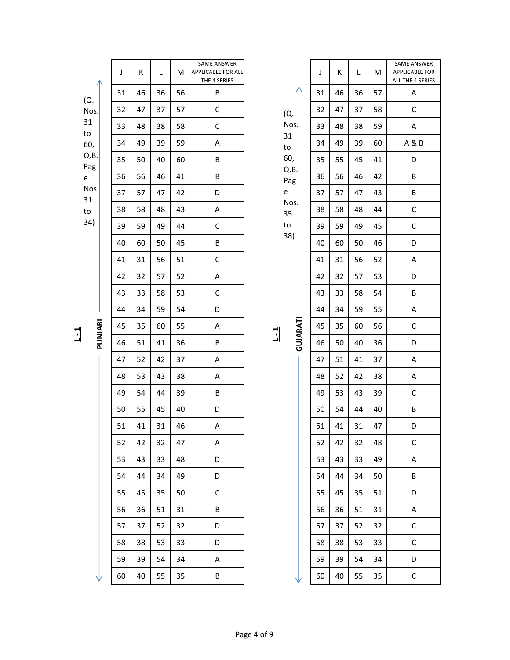|                         | J  | Κ  | L  | M  | SAME ANSWER<br><b>APPLICABLE FOR ALL</b><br>THE 4 SERIES |                                   | J  | К  | L  | М  | <b>SAME ANSV</b><br>APPLICABLE<br>ALL THE 4 SE |
|-------------------------|----|----|----|----|----------------------------------------------------------|-----------------------------------|----|----|----|----|------------------------------------------------|
| (Q.                     | 31 | 46 | 36 | 56 | B                                                        | (Q.                               | 31 | 46 | 36 | 57 | $\sf A$                                        |
| Nos.                    | 32 | 47 | 37 | 57 | $\mathsf C$                                              |                                   | 32 | 47 | 37 | 58 | $\mathsf C$                                    |
| 31<br>to                | 33 | 48 | 38 | 58 | $\mathsf C$                                              | Nos.                              | 33 | 48 | 38 | 59 | A                                              |
| 60,                     | 34 | 49 | 39 | 59 | $\sf A$                                                  | 31<br>to<br>60,                   | 34 | 49 | 39 | 60 | A & B                                          |
| Q.B.<br>Pag             | 35 | 50 | 40 | 60 | $\sf B$                                                  |                                   | 35 | 55 | 45 | 41 | D                                              |
| e                       | 36 | 56 | 46 | 41 | B                                                        | Q.B.<br>Pag                       | 36 | 56 | 46 | 42 | $\sf B$                                        |
| Nos.<br>31<br>to<br>34) | 37 | 57 | 47 | 42 | D                                                        | $\mathsf{e}% _{t}\left( t\right)$ | 37 | 57 | 47 | 43 | $\sf B$                                        |
|                         | 38 | 58 | 48 | 43 | $\sf A$                                                  | Nos.<br>35                        | 38 | 58 | 48 | 44 | $\mathsf C$                                    |
|                         | 39 | 59 | 49 | 44 | $\mathsf C$                                              | to                                | 39 | 59 | 49 | 45 | $\mathsf C$                                    |
|                         | 40 | 60 | 50 | 45 | $\sf B$                                                  | 38)                               | 40 | 60 | 50 | 46 | D                                              |
|                         | 41 | 31 | 56 | 51 | $\mathsf C$                                              |                                   | 41 | 31 | 56 | 52 | A                                              |
|                         | 42 | 32 | 57 | 52 | $\sf A$                                                  |                                   | 42 | 32 | 57 | 53 | D                                              |
|                         | 43 | 33 | 58 | 53 | $\mathsf C$                                              | GUJARATI<br>$\overline{1}$        | 43 | 33 | 58 | 54 | B                                              |
|                         | 44 | 34 | 59 | 54 | D                                                        |                                   | 44 | 34 | 59 | 55 | A                                              |
| <b>PUNLIABI</b>         | 45 | 35 | 60 | 55 | $\sf A$                                                  |                                   | 45 | 35 | 60 | 56 | $\mathsf C$                                    |
|                         | 46 | 51 | 41 | 36 | $\sf B$                                                  |                                   | 46 | 50 | 40 | 36 | D                                              |
|                         | 47 | 52 | 42 | 37 | A                                                        |                                   | 47 | 51 | 41 | 37 | A                                              |
|                         | 48 | 53 | 43 | 38 | $\sf A$                                                  |                                   | 48 | 52 | 42 | 38 | A                                              |
|                         | 49 | 54 | 44 | 39 | $\sf B$                                                  |                                   | 49 | 53 | 43 | 39 | $\mathsf C$                                    |
|                         | 50 | 55 | 45 | 40 | D                                                        |                                   | 50 | 54 | 44 | 40 | $\sf B$                                        |
|                         | 51 | 41 | 31 | 46 | A                                                        |                                   | 51 | 41 | 31 | 47 | D                                              |
|                         | 52 | 42 | 32 | 47 | A                                                        |                                   | 52 | 42 | 32 | 48 | $\mathsf C$                                    |
|                         | 53 | 43 | 33 | 48 | D                                                        |                                   | 53 | 43 | 33 | 49 | $\mathsf A$                                    |
|                         | 54 | 44 | 34 | 49 | D                                                        |                                   | 54 | 44 | 34 | 50 | $\sf B$                                        |
|                         | 55 | 45 | 35 | 50 | $\mathsf C$                                              |                                   | 55 | 45 | 35 | 51 | $\mathsf D$                                    |
|                         | 56 | 36 | 51 | 31 | B                                                        |                                   | 56 | 36 | 51 | 31 | $\mathsf A$                                    |
|                         | 57 | 37 | 52 | 32 | D                                                        |                                   | 57 | 37 | 52 | 32 | $\mathsf C$                                    |
|                         | 58 | 38 | 53 | 33 | D                                                        |                                   | 58 | 38 | 53 | 33 | $\mathsf C$                                    |
|                         | 59 | 39 | 54 | 34 | A                                                        |                                   | 59 | 39 | 54 | 34 | D                                              |
|                         | 60 | 40 | 55 | 35 | B                                                        |                                   | 60 | 40 | 55 | 35 | $\mathsf C$                                    |
|                         |    |    |    |    |                                                          |                                   |    |    |    |    |                                                |

|                                             |          | J  | Κ  | L  | M  | SAME ANSWER<br><b>APPLICABLE FOR</b><br>ALL THE 4 SERIES |
|---------------------------------------------|----------|----|----|----|----|----------------------------------------------------------|
|                                             |          | 31 | 46 | 36 | 57 | Α                                                        |
| (Q.                                         |          | 32 | 47 | 37 | 58 | C                                                        |
| Nos.<br>31<br>to<br>60,<br>Q.B.<br>Pag<br>e |          | 33 | 48 | 38 | 59 | Α                                                        |
|                                             |          | 34 | 49 | 39 | 60 | A & B                                                    |
|                                             |          | 35 | 55 | 45 | 41 | D                                                        |
|                                             |          | 36 | 56 | 46 | 42 | B                                                        |
|                                             |          | 37 | 57 | 47 | 43 | В                                                        |
| Nos.<br>35                                  |          | 38 | 58 | 48 | 44 | C                                                        |
| to                                          |          | 39 | 59 | 49 | 45 | C                                                        |
| 38)                                         |          | 40 | 60 | 50 | 46 | D                                                        |
|                                             |          | 41 | 31 | 56 | 52 | A                                                        |
|                                             |          | 42 | 32 | 57 | 53 | D                                                        |
|                                             |          | 43 | 33 | 58 | 54 | В                                                        |
|                                             |          | 44 | 34 | 59 | 55 | A                                                        |
|                                             | GUJARATI | 45 | 35 | 60 | 56 | C                                                        |
|                                             |          | 46 | 50 | 40 | 36 | D                                                        |
|                                             |          | 47 | 51 | 41 | 37 | A                                                        |
|                                             |          | 48 | 52 | 42 | 38 | A                                                        |
|                                             |          | 49 | 53 | 43 | 39 | C                                                        |
|                                             |          | 50 | 54 | 44 | 40 | B                                                        |
|                                             |          | 51 | 41 | 31 | 47 | D                                                        |
|                                             |          | 52 | 42 | 32 | 48 | С                                                        |
|                                             |          | 53 | 43 | 33 | 49 | А                                                        |
|                                             |          | 54 | 44 | 34 | 50 | В                                                        |
|                                             |          | 55 | 45 | 35 | 51 | D                                                        |
|                                             |          | 56 | 36 | 51 | 31 | А                                                        |
|                                             |          | 57 | 37 | 52 | 32 | C                                                        |
|                                             |          |    |    |    |    |                                                          |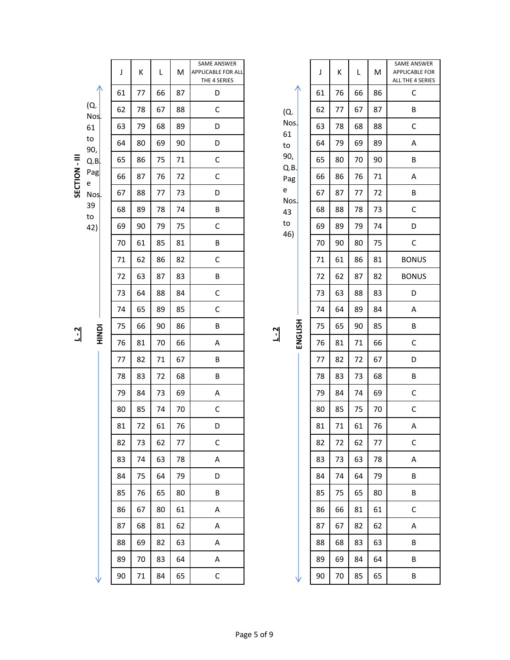|             |             | J  | К  | L  | м  | SAME ANSWER<br>APPLICABLE FOR ALL<br>THE 4 SERIES |      |             | J      | К  | L  | M  | SAME ANSW<br><b>APPLICABLE F</b><br>ALL THE 4 SEF |
|-------------|-------------|----|----|----|----|---------------------------------------------------|------|-------------|--------|----|----|----|---------------------------------------------------|
|             |             | 61 | 77 | 66 | 87 | D                                                 |      |             | 61     | 76 | 66 | 86 | $\mathsf C$                                       |
|             | (Q.<br>Nos. | 62 | 78 | 67 | 88 | $\mathsf C$                                       |      | (Q.         | 62     | 77 | 67 | 87 | $\sf B$                                           |
|             | 61          | 63 | 79 | 68 | 89 | D                                                 |      | Nos.<br>61  | 63     | 78 | 68 | 88 | $\mathsf C$                                       |
|             | to<br>90,   | 64 | 80 | 69 | 90 | D                                                 |      | to          | 64     | 79 | 69 | 89 | A                                                 |
|             | Q.B         | 65 | 86 | 75 | 71 | $\mathsf C$                                       |      | 90,<br>Q.B. | 65     | 80 | 70 | 90 | $\sf B$                                           |
| SECTION-III | Pag<br>e    | 66 | 87 | 76 | 72 | $\mathsf C$                                       |      | Pag         | 66     | 86 | 76 | 71 | A                                                 |
|             | Nos.        | 67 | 88 | 77 | 73 | D                                                 | e    | Nos.        | 67     | 87 | 77 | 72 | $\sf B$                                           |
|             | 39<br>to    | 68 | 89 | 78 | 74 | B                                                 |      | 43          | 68     | 88 | 78 | 73 | $\mathsf C$                                       |
|             | 42)         | 69 | 90 | 79 | 75 | $\mathsf C$                                       |      | to<br>46)   | 69     | 89 | 79 | 74 | D                                                 |
|             |             | 70 | 61 | 85 | 81 | B                                                 |      |             | 70     | 90 | 80 | 75 | $\mathsf C$                                       |
|             |             | 71 | 62 | 86 | 82 | $\mathsf C$                                       |      |             | $71\,$ | 61 | 86 | 81 | <b>BONUS</b>                                      |
|             |             | 72 | 63 | 87 | 83 | B                                                 |      |             | 72     | 62 | 87 | 82 | <b>BONUS</b>                                      |
|             |             | 73 | 64 | 88 | 84 | $\mathsf C$                                       |      |             | 73     | 63 | 88 | 83 | D                                                 |
|             |             | 74 | 65 | 89 | 85 | $\mathsf C$                                       |      |             | 74     | 64 | 89 | 84 | $\sf A$                                           |
| $L - 2$     | HINDI       | 75 | 66 | 90 | 86 | B                                                 |      |             | 75     | 65 | 90 | 85 | $\sf B$                                           |
|             |             | 76 | 81 | 70 | 66 | A                                                 | $-2$ | ENGLISH     | 76     | 81 | 71 | 66 | $\mathsf C$                                       |
|             |             | 77 | 82 | 71 | 67 | B                                                 |      |             | 77     | 82 | 72 | 67 | D                                                 |
|             |             | 78 | 83 | 72 | 68 | B                                                 |      |             | 78     | 83 | 73 | 68 | $\sf B$                                           |
|             |             | 79 | 84 | 73 | 69 | A                                                 |      |             | 79     | 84 | 74 | 69 | $\mathsf C$                                       |
|             |             | 80 | 85 | 74 | 70 | $\mathsf C$                                       |      |             | 80     | 85 | 75 | 70 | $\mathsf C$                                       |
|             |             | 81 | 72 | 61 | 76 | D                                                 |      |             | 81     | 71 | 61 | 76 | A                                                 |
|             |             | 82 | 73 | 62 | 77 | $\mathsf C$                                       |      |             | 82     | 72 | 62 | 77 | C                                                 |
|             |             | 83 | 74 | 63 | 78 | Α                                                 |      |             | 83     | 73 | 63 | 78 | Α                                                 |
|             |             | 84 | 75 | 64 | 79 | D                                                 |      |             | 84     | 74 | 64 | 79 | B                                                 |
|             |             | 85 | 76 | 65 | 80 | B                                                 |      |             | 85     | 75 | 65 | 80 | B                                                 |
|             |             | 86 | 67 | 80 | 61 | Α                                                 |      |             | 86     | 66 | 81 | 61 | $\mathsf C$                                       |
|             |             | 87 | 68 | 81 | 62 | A                                                 |      |             | 87     | 67 | 82 | 62 | A                                                 |
|             |             | 88 | 69 | 82 | 63 | A                                                 |      |             | 88     | 68 | 83 | 63 | B                                                 |
|             |             | 89 | 70 | 83 | 64 | A                                                 |      |             | 89     | 69 | 84 | 64 | $\sf B$                                           |
|             |             | 90 | 71 | 84 | 65 | $\mathsf C$                                       |      | ν           | 90     | 70 | 85 | 65 | $\sf B$                                           |
|             |             |    |    |    |    |                                                   |      |             |        |    |    |    |                                                   |

|                                               |                | J  | K  | L  | M  | SAME ANSWER<br><b>APPLICABLE FOR</b><br>ALL THE 4 SERIES |
|-----------------------------------------------|----------------|----|----|----|----|----------------------------------------------------------|
|                                               |                | 61 | 76 | 66 | 86 | с                                                        |
| (Q.<br>Nos.<br>61<br>to<br>90,<br>Q.B.<br>Pag |                | 62 | 77 | 67 | 87 | В                                                        |
|                                               |                | 63 | 78 | 68 | 88 | C                                                        |
|                                               |                | 64 | 79 | 69 | 89 | A                                                        |
|                                               |                | 65 | 80 | 70 | 90 | В                                                        |
|                                               |                | 66 | 86 | 76 | 71 | A                                                        |
| e                                             |                | 67 | 87 | 77 | 72 | В                                                        |
| Nos.<br>43                                    |                | 68 | 88 | 78 | 73 | C                                                        |
| to                                            |                | 69 | 89 | 79 | 74 | D                                                        |
| 46)                                           |                | 70 | 90 | 80 | 75 | C                                                        |
|                                               |                | 71 | 61 | 86 | 81 | <b>BONUS</b>                                             |
|                                               |                | 72 | 62 | 87 | 82 | <b>BONUS</b>                                             |
|                                               |                | 73 | 63 | 88 | 83 | D                                                        |
|                                               |                | 74 | 64 | 89 | 84 | A                                                        |
|                                               |                | 75 | 65 | 90 | 85 | В                                                        |
|                                               | <b>ENGLISH</b> | 76 | 81 | 71 | 66 | C                                                        |
|                                               |                | 77 | 82 | 72 | 67 | D                                                        |
|                                               |                | 78 | 83 | 73 | 68 | В                                                        |
|                                               |                | 79 | 84 | 74 | 69 | C                                                        |
|                                               |                | 80 | 85 | 75 | 70 | С                                                        |
|                                               |                | 81 | 71 | 61 | 76 | A                                                        |
|                                               |                | 82 | 72 | 62 | 77 | С                                                        |
|                                               |                | 83 | 73 | 63 | 78 | А                                                        |
|                                               |                | 84 | 74 | 64 | 79 | В                                                        |
|                                               |                | 85 | 75 | 65 | 80 | В                                                        |
|                                               |                | 86 | 66 | 81 | 61 | с                                                        |
|                                               |                | 87 | 67 | 82 | 62 | Α                                                        |
|                                               |                | 88 | 68 | 83 | 63 | В                                                        |
|                                               |                | 89 | 69 | 84 | 64 | В                                                        |
|                                               |                |    |    |    |    |                                                          |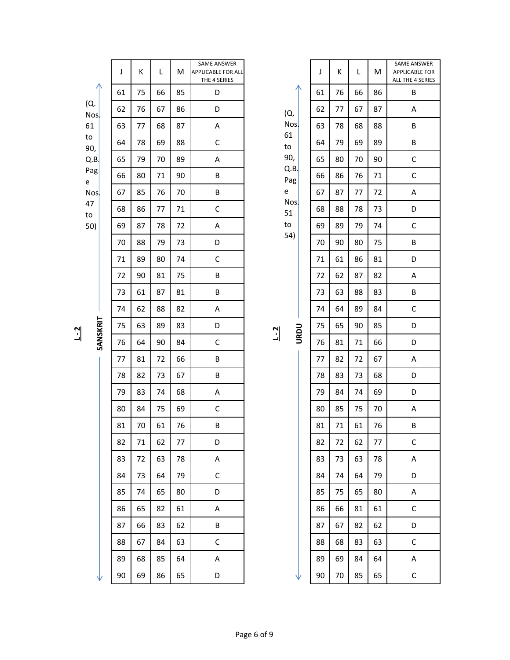|                   | J  | K  | L  | M  | SAME ANSWER<br><b>APPLICABLE FOR ALL</b><br>THE 4 SERIES |                        |             |    | J  | К  | L            | M      | SAME AM<br>APPLICAE<br>ALL THE 4 |
|-------------------|----|----|----|----|----------------------------------------------------------|------------------------|-------------|----|----|----|--------------|--------|----------------------------------|
|                   | 61 | 75 | 66 | 85 | D                                                        |                        |             |    | 61 | 76 | 66           | 86     | B                                |
| (Q.<br>Nos.<br>61 | 62 | 76 | 67 | 86 | D                                                        | (Q.<br>Nos.<br>61      |             | 62 | 77 | 67 | 87           | A      |                                  |
|                   | 63 | 77 | 68 | 87 | A                                                        |                        |             |    | 63 | 78 | 68           | 88     | B                                |
| to<br>90,         | 64 | 78 | 69 | 88 | $\mathsf C$                                              |                        | to          |    | 64 | 79 | 69           | 89     | B                                |
| Q.B               | 65 | 79 | 70 | 89 | A                                                        |                        | 90,         |    | 65 | 80 | 70           | 90     | $\mathsf{C}$                     |
| Pag<br>e          | 66 | 80 | 71 | 90 | B                                                        |                        | Q.B.<br>Pag |    | 66 | 86 | 76           | 71     | $\mathsf{C}$                     |
| Nos.              | 67 | 85 | 76 | 70 | B                                                        |                        | e           |    | 67 | 87 | 77           | 72     | A                                |
| 47<br>to          | 68 | 86 | 77 | 71 | $\mathsf C$                                              |                        | Nos.<br>51  |    | 68 | 88 | 78           | 73     | D                                |
| 50)               | 69 | 87 | 78 | 72 | $\sf A$                                                  |                        | to          |    | 69 | 89 | 79           | 74     | $\mathsf{C}$                     |
|                   | 70 | 88 | 79 | 73 | D                                                        |                        | 54)         |    | 70 | 90 | 80           | 75     | B                                |
|                   | 71 | 89 | 80 | 74 | $\mathsf C$                                              |                        |             |    | 71 | 61 | 86           | 81     | D                                |
|                   | 72 | 90 | 81 | 75 | B                                                        |                        |             |    | 72 | 62 | 87           | 82     | A                                |
|                   | 73 | 61 | 87 | 81 | B                                                        | URDU<br>$\overline{1}$ | 73          | 63 | 88 | 83 | B            |        |                                  |
|                   | 74 | 62 | 88 | 82 | $\sf A$                                                  |                        | 74          | 64 | 89 | 84 | $\mathsf{C}$ |        |                                  |
| SANSKRIT          | 75 | 63 | 89 | 83 | D                                                        |                        |             | 75 | 65 | 90 | 85           | D      |                                  |
|                   | 76 | 64 | 90 | 84 | $\mathsf C$                                              |                        |             | 76 | 81 | 71 | 66           | D      |                                  |
|                   | 77 | 81 | 72 | 66 | B                                                        |                        |             |    | 77 | 82 | 72           | 67     | A                                |
|                   | 78 | 82 | 73 | 67 | B                                                        |                        |             |    | 78 | 83 | 73           | 68     | D                                |
|                   | 79 | 83 | 74 | 68 | $\sf A$                                                  |                        |             | 79 | 84 | 74 | 69           | D      |                                  |
|                   | 80 | 84 | 75 | 69 | $\mathsf C$                                              |                        |             |    | 80 | 85 | 75           | $70\,$ | A                                |
|                   | 81 | 70 | 61 | 76 | B                                                        |                        |             |    | 81 | 71 | 61           | 76     | B                                |
|                   | 82 | 71 | 62 | 77 | D                                                        |                        |             |    | 82 | 72 | 62           | 77     | $\mathsf{C}$                     |
|                   | 83 | 72 | 63 | 78 | Α                                                        |                        |             |    | 83 | 73 | 63           | 78     | A                                |
|                   | 84 | 73 | 64 | 79 | C                                                        |                        |             |    | 84 | 74 | 64           | 79     | D                                |
|                   | 85 | 74 | 65 | 80 | D                                                        |                        |             |    | 85 | 75 | 65           | 80     | A                                |
|                   | 86 | 65 | 82 | 61 | A                                                        |                        |             |    | 86 | 66 | 81           | 61     | $\mathsf{C}$                     |
|                   | 87 | 66 | 83 | 62 | B                                                        |                        |             |    | 87 | 67 | 82           | 62     | D                                |
|                   | 88 | 67 | 84 | 63 | C                                                        |                        |             |    | 88 | 68 | 83           | 63     | $\mathsf{C}$                     |
|                   | 89 | 68 | 85 | 64 | Α                                                        |                        |             |    | 89 | 69 | 84           | 64     | A                                |
|                   | 90 | 69 | 86 | 65 | D                                                        |                        |             |    | 90 | 70 | 85           | 65     | $\mathsf{C}$                     |
|                   |    |    |    |    |                                                          |                        |             |    |    |    |              |        |                                  |

| (Q.<br>Nos<br>61            |  |
|-----------------------------|--|
| to<br>90,<br>Q.B<br>Pag     |  |
| e<br>Nos<br>51<br>to<br>54) |  |
|                             |  |

| ᆌ |  |
|---|--|

| J  | K  | L  | M  | <b>SAME ANSWER</b><br><b>APPLICABLE FOR</b><br>ALL THE 4 SERIES |
|----|----|----|----|-----------------------------------------------------------------|
| 61 | 76 | 66 | 86 | В                                                               |
| 62 | 77 | 67 | 87 | Α                                                               |
| 63 | 78 | 68 | 88 | B                                                               |
| 64 | 79 | 69 | 89 | В                                                               |
| 65 | 80 | 70 | 90 | С                                                               |
| 66 | 86 | 76 | 71 | C                                                               |
| 67 | 87 | 77 | 72 | Α                                                               |
| 68 | 88 | 78 | 73 | D                                                               |
| 69 | 89 | 79 | 74 | C                                                               |
| 70 | 90 | 80 | 75 | В                                                               |
| 71 | 61 | 86 | 81 | D                                                               |
| 72 | 62 | 87 | 82 | Α                                                               |
| 73 | 63 | 88 | 83 | B                                                               |
| 74 | 64 | 89 | 84 | C                                                               |
| 75 | 65 | 90 | 85 | D                                                               |
| 76 | 81 | 71 | 66 | D                                                               |
| 77 | 82 | 72 | 67 | Α                                                               |
| 78 | 83 | 73 | 68 | D                                                               |
| 79 | 84 | 74 | 69 | D                                                               |
| 80 | 85 | 75 | 70 | Α                                                               |
| 81 | 71 | 61 | 76 | В                                                               |
| 82 | 72 | 62 | 77 | C                                                               |
| 83 | 73 | 63 | 78 | A                                                               |
| 84 | 74 | 64 | 79 | D                                                               |
| 85 | 75 | 65 | 80 | A                                                               |
| 86 | 66 | 81 | 61 | C                                                               |
| 87 | 67 | 82 | 62 | D                                                               |
| 88 | 68 | 83 | 63 | C                                                               |
| 89 | 69 | 84 | 64 | A                                                               |
| 90 | 70 | 85 | 65 | C                                                               |
|    |    |    |    |                                                                 |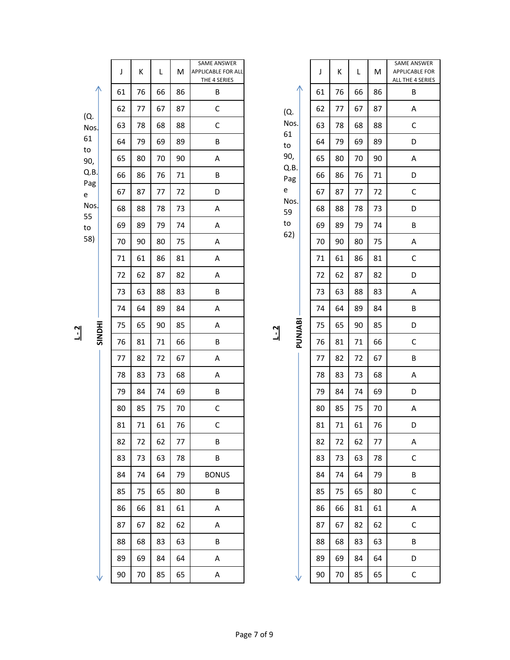|                       | J  | К  | L  | M  | SAME ANSWER<br><b>APPLICABLE FOR ALL</b><br>THE 4 SERIES |                           |                                   |    | J  | К  | L  | M  | SAME AM<br>APPLICAE<br>ALL THE 4 |
|-----------------------|----|----|----|----|----------------------------------------------------------|---------------------------|-----------------------------------|----|----|----|----|----|----------------------------------|
| ∧                     | 61 | 76 | 66 | 86 | $\sf B$                                                  |                           |                                   |    | 61 | 76 | 66 | 86 | B                                |
| (Q.<br>Nos            | 62 | 77 | 67 | 87 | $\mathsf C$                                              | (Q.                       |                                   | 62 | 77 | 67 | 87 | A  |                                  |
|                       | 63 | 78 | 68 | 88 | $\mathsf C$                                              |                           | Nos.                              |    | 63 | 78 | 68 | 88 | $\mathsf{C}$                     |
| 61<br>to              | 64 | 79 | 69 | 89 | $\sf B$                                                  | 61<br>to<br>90,           |                                   | 64 | 79 | 69 | 89 | D  |                                  |
| 90,                   | 65 | 80 | 70 | 90 | A                                                        |                           | 65                                | 80 | 70 | 90 | A  |    |                                  |
| Q.B.                  | 66 | 86 | 76 | 71 | $\sf B$                                                  |                           | Q.B.<br>Pag                       |    | 66 | 86 | 76 | 71 | D                                |
| Pag<br>e<br>Nos<br>55 | 67 | 87 | 77 | 72 | D                                                        |                           | $\mathsf{e}% _{t}\left( t\right)$ |    | 67 | 87 | 77 | 72 | $\mathsf{C}$                     |
|                       | 68 | 88 | 78 | 73 | A                                                        |                           | Nos.<br>59                        |    | 68 | 88 | 78 | 73 | D                                |
| to                    | 69 | 89 | 79 | 74 | A                                                        |                           | $\mathsf{to}$                     |    | 69 | 89 | 79 | 74 | B                                |
| 58)                   | 70 | 90 | 80 | 75 | А                                                        |                           | 62)                               |    | 70 | 90 | 80 | 75 | A                                |
|                       | 71 | 61 | 86 | 81 | A                                                        |                           |                                   |    | 71 | 61 | 86 | 81 | $\mathsf{C}$                     |
|                       | 72 | 62 | 87 | 82 | A                                                        |                           |                                   |    | 72 | 62 | 87 | 82 | D                                |
|                       | 73 | 63 | 88 | 83 | $\sf B$                                                  |                           |                                   |    | 73 | 63 | 88 | 83 | A                                |
|                       | 74 | 64 | 89 | 84 | A                                                        |                           |                                   |    | 74 | 64 | 89 | 84 | B                                |
| <b>IHONIS</b>         | 75 | 65 | 90 | 85 | A                                                        | PUNJABI<br>$\overline{1}$ |                                   | 75 | 65 | 90 | 85 | D  |                                  |
|                       | 76 | 81 | 71 | 66 | $\sf B$                                                  |                           |                                   |    | 76 | 81 | 71 | 66 | $\mathsf{C}$                     |
|                       | 77 | 82 | 72 | 67 | A                                                        |                           |                                   |    | 77 | 82 | 72 | 67 | B                                |
|                       | 78 | 83 | 73 | 68 | A                                                        |                           |                                   |    | 78 | 83 | 73 | 68 | A                                |
|                       | 79 | 84 | 74 | 69 | $\sf B$                                                  |                           |                                   | 79 | 84 | 74 | 69 | D  |                                  |
|                       | 80 | 85 | 75 | 70 | $\mathsf C$                                              |                           |                                   |    | 80 | 85 | 75 | 70 | A                                |
|                       | 81 | 71 | 61 | 76 | $\mathsf C$                                              |                           |                                   |    | 81 | 71 | 61 | 76 | D                                |
|                       | 82 | 72 | 62 | 77 | B                                                        |                           |                                   |    | 82 | 72 | 62 | 77 | Α                                |
|                       | 83 | 73 | 63 | 78 | B                                                        |                           |                                   |    | 83 | 73 | 63 | 78 | $\mathsf{C}$                     |
|                       | 84 | 74 | 64 | 79 | <b>BONUS</b>                                             |                           |                                   |    | 84 | 74 | 64 | 79 | $\mathsf B$                      |
|                       | 85 | 75 | 65 | 80 | B                                                        |                           |                                   |    | 85 | 75 | 65 | 80 | C                                |
|                       | 86 | 66 | 81 | 61 | Α                                                        |                           |                                   |    | 86 | 66 | 81 | 61 | A                                |
|                       | 87 | 67 | 82 | 62 | Α                                                        |                           |                                   |    | 87 | 67 | 82 | 62 | $\mathsf{C}$                     |
|                       | 88 | 68 | 83 | 63 | B                                                        |                           |                                   |    | 88 | 68 | 83 | 63 | B                                |
|                       | 89 | 69 | 84 | 64 | Α                                                        |                           |                                   |    | 89 | 69 | 84 | 64 | D                                |
|                       | 90 | 70 | 85 | 65 | Α                                                        |                           |                                   |    | 90 | 70 | 85 | 65 | $\mathsf{C}$                     |
|                       |    |    |    |    |                                                          |                           |                                   |    |    |    |    |    |                                  |

| J  | Κ  | L  | M  |
|----|----|----|----|
| 61 | 76 | 66 | 86 |
| 62 | 77 | 67 | 87 |
| 63 | 78 | 68 | 88 |
| 64 | 79 | 69 | 89 |
| 65 | 80 | 70 | 90 |
| 66 | 86 | 76 | 71 |
| 67 | 87 | 77 | 72 |
| 68 | 88 | 78 | 73 |
| 69 | 89 | 79 | 74 |
| 70 | 90 | 80 | 75 |
| 71 | 61 | 86 | 81 |
| 72 | 62 | 87 | 82 |
| 73 | 63 | 88 | 83 |
| 74 | 64 | 89 | 84 |
| 75 | 65 | 90 | 85 |
| 76 | 81 | 71 | 66 |
| 77 | 82 | 72 | 67 |
| 78 | 83 | 73 | 68 |
| 79 | 84 | 74 | 69 |
| 80 | 85 | 75 | 70 |
| 81 | 71 | 61 | 76 |
| 82 | 72 | 62 | 77 |
| 83 | 73 | 63 | 78 |
| 84 | 74 | 64 | 79 |
|    |    |    |    |

SAME ANSWER APPLICABLE FOR ALL THE 4 SERIES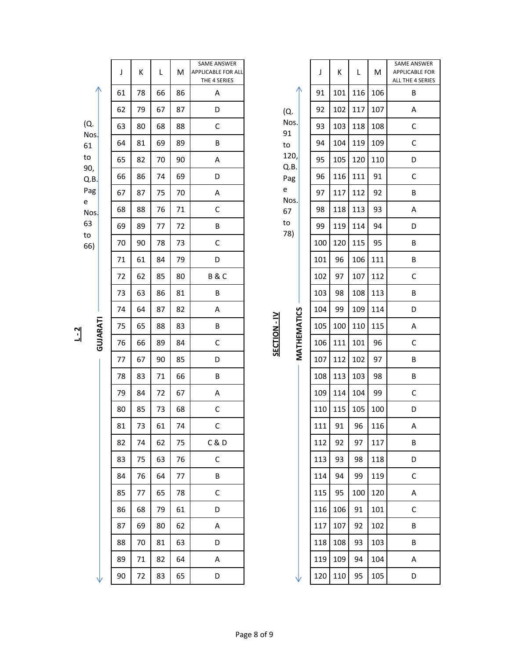|                                                                    | J  | К  | L  | M  | <b>SAME ANSWER</b><br><b>APPLICABLE FOR ALL</b><br>THE 4 SERIES |                             | J   | К   | L   | M   | SAME AM<br>APPLICAE<br>ALL THE 4 |
|--------------------------------------------------------------------|----|----|----|----|-----------------------------------------------------------------|-----------------------------|-----|-----|-----|-----|----------------------------------|
|                                                                    | 61 | 78 | 66 | 86 | A                                                               |                             | 91  | 101 | 116 | 106 | B                                |
| (Q.<br>Nos.<br>61<br>to<br>90,<br>Q.B.<br>Pag<br>e<br>$N$ os<br>63 | 62 | 79 | 67 | 87 | D                                                               | (Q.                         | 92  | 102 | 117 | 107 | A                                |
|                                                                    | 63 | 80 | 68 | 88 | $\mathsf C$                                                     | Nos.<br>91                  | 93  | 103 | 118 | 108 | $\mathsf{C}$                     |
|                                                                    | 64 | 81 | 69 | 89 | B                                                               | $\mathsf{to}$               | 94  | 104 | 119 | 109 | $\mathsf{C}$                     |
|                                                                    | 65 | 82 | 70 | 90 | $\sf A$                                                         | 120,<br>Q.B.                | 95  | 105 | 120 | 110 | D                                |
|                                                                    | 66 | 86 | 74 | 69 | D                                                               | Pag                         | 96  | 116 | 111 | 91  | $\mathsf{C}$                     |
|                                                                    | 67 | 87 | 75 | 70 | $\sf A$                                                         | e<br>Nos.                   | 97  | 117 | 112 | 92  | B                                |
|                                                                    | 68 | 88 | 76 | 71 | $\mathsf C$                                                     | 67                          | 98  | 118 | 113 | 93  | A                                |
|                                                                    | 69 | 89 | 77 | 72 | B                                                               | $\mathsf{to}$<br>78)        | 99  | 119 | 114 | 94  | D                                |
| to<br>66)                                                          | 70 | 90 | 78 | 73 | $\mathsf C$                                                     |                             | 100 | 120 | 115 | 95  | B                                |
|                                                                    | 71 | 61 | 84 | 79 | D                                                               |                             | 101 | 96  | 106 | 111 | B                                |
|                                                                    | 72 | 62 | 85 | 80 | <b>B&amp;C</b>                                                  |                             | 102 | 97  | 107 | 112 | $\mathsf{C}$                     |
|                                                                    | 73 | 63 | 86 | 81 | B                                                               |                             | 103 | 98  | 108 | 113 | B                                |
|                                                                    | 74 | 64 | 87 | 82 | A                                                               | MATHEMATICS<br>SECTION - IV | 104 | 99  | 109 | 114 | D                                |
| GUJARATI                                                           | 75 | 65 | 88 | 83 | B                                                               |                             | 105 | 100 | 110 | 115 | A                                |
|                                                                    | 76 | 66 | 89 | 84 | $\mathsf C$                                                     |                             | 106 | 111 | 101 | 96  | $\mathsf{C}$                     |
|                                                                    | 77 | 67 | 90 | 85 | D                                                               |                             | 107 | 112 | 102 | 97  | B                                |
|                                                                    | 78 | 83 | 71 | 66 | B                                                               |                             | 108 | 113 | 103 | 98  | B                                |
|                                                                    | 79 | 84 | 72 | 67 | $\sf A$                                                         |                             | 109 | 114 | 104 | 99  | $\mathsf{C}$                     |
|                                                                    | 80 | 85 | 73 | 68 | $\mathsf C$                                                     |                             | 110 | 115 | 105 | 100 | D                                |
|                                                                    | 81 | 73 | 61 | 74 | $\mathsf{C}$                                                    |                             | 111 | 91  | 96  | 116 | A                                |
|                                                                    | 82 | 74 | 62 | 75 | C & D                                                           |                             | 112 | 92  | 97  | 117 | B                                |
|                                                                    | 83 | 75 | 63 | 76 | C                                                               |                             | 113 | 93  | 98  | 118 | D                                |
|                                                                    | 84 | 76 | 64 | 77 | Β                                                               |                             | 114 | 94  | 99  | 119 | $\mathsf{C}$                     |
|                                                                    | 85 | 77 | 65 | 78 | $\mathsf C$                                                     |                             | 115 | 95  | 100 | 120 | A                                |
|                                                                    | 86 | 68 | 79 | 61 | D                                                               |                             | 116 | 106 | 91  | 101 | $\mathsf{C}$                     |
|                                                                    | 87 | 69 | 80 | 62 | A                                                               |                             | 117 | 107 | 92  | 102 | B                                |
|                                                                    | 88 | 70 | 81 | 63 | D                                                               |                             | 118 | 108 | 93  | 103 | B                                |
|                                                                    | 89 | 71 | 82 | 64 | A                                                               |                             | 119 | 109 | 94  | 104 | A                                |
|                                                                    | 90 | 72 | 83 | 65 | D                                                               |                             | 120 | 110 | 95  | 105 | D                                |
|                                                                    |    |    |    |    |                                                                 |                             |     |     |     |     |                                  |

| эg  |  |
|-----|--|
| os. |  |
| 7   |  |
| J   |  |
| 3)  |  |
|     |  |
|     |  |
|     |  |
|     |  |
|     |  |

| į                |
|------------------|
| ļ<br>Ξ<br>į<br>Ξ |
|                  |

|     |     |     |     | <b>SAME ANSWER</b>                        |  |
|-----|-----|-----|-----|-------------------------------------------|--|
| J   | K   | L   | M   | <b>APPLICABLE FOR</b><br>ALL THE 4 SERIES |  |
| 91  | 101 | 116 | 106 | В                                         |  |
| 92  | 102 | 117 | 107 | Α                                         |  |
| 93  | 103 | 118 | 108 | C                                         |  |
| 94  | 104 | 119 | 109 | С                                         |  |
| 95  | 105 | 120 | 110 | D                                         |  |
| 96  | 116 | 111 | 91  | C                                         |  |
| 97  | 117 | 112 | 92  | В                                         |  |
| 98  | 118 | 113 | 93  | A                                         |  |
| 99  | 119 | 114 | 94  | D                                         |  |
| 100 | 120 | 115 | 95  | В                                         |  |
| 101 | 96  | 106 | 111 | B                                         |  |
| 102 | 97  | 107 | 112 | C                                         |  |
| 103 | 98  | 108 | 113 | В                                         |  |
| 104 | 99  | 109 | 114 | D                                         |  |
| 105 | 100 | 110 | 115 | Α                                         |  |
| 106 | 111 | 101 | 96  | C                                         |  |
| 107 | 112 | 102 | 97  | В                                         |  |
| 108 | 113 | 103 | 98  | В                                         |  |
| 109 | 114 | 104 | 99  | C                                         |  |
| 110 | 115 | 105 | 100 | D                                         |  |
| 111 | 91  | 96  | 116 | Α                                         |  |
| 112 | 92  | 97  | 117 | В                                         |  |
| 113 | 93  | 98  | 118 | D                                         |  |
| 114 | 94  | 99  | 119 | С                                         |  |
| 115 | 95  | 100 | 120 | Α                                         |  |
| 116 | 106 | 91  | 101 | C                                         |  |
| 117 | 107 | 92  | 102 | B                                         |  |
| 118 | 108 | 93  | 103 | В                                         |  |
| 119 | 109 | 94  | 104 | А                                         |  |
| 120 | 110 | 95  | 105 | D                                         |  |